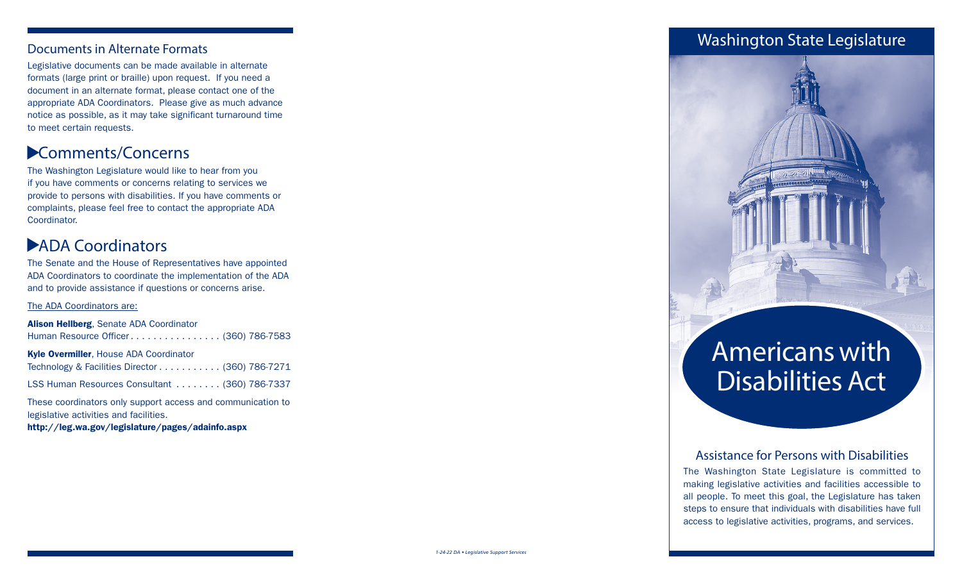Legislative documents can be made available in alternate formats (large print or braille) upon request. If you need a document in an alternate format, please contact one of the appropriate ADA Coordinators. Please give as much advance notice as possible, as it may take significant turnaround time to meet certain requests.

### Comments/Concerns ▲

The Washington Legislature would like to hear from you if you have comments or concerns relating to services we provide to persons with disabilities. If you have comments or complaints, please feel free to contact the appropriate ADA Coordinator.

## ADA Coordinators ▲

The Senate and the House of Representatives have appointed ADA Coordinators to coordinate the implementation of the ADA and to provide assistance if questions or concerns arise.

#### The ADA Coordinators are:

| Alison Hellberg, Senate ADA Coordinator                     |
|-------------------------------------------------------------|
| Human Resource Officer (360) 786-7583                       |
| Kyle Overmiller, House ADA Coordinator                      |
| Technology & Facilities Director (360) 786-7271             |
| LSS Human Resources Consultant  (360) 786-7337              |
| These coordinators only support access and communication to |

legislative activities and facilities.

http://leg.wa.gov/legislature/pages/adainfo.aspx

### **Documents in Alternate Formats**



# Americans with Disabilities Act

### Assistance for Persons with Disabilities

The Washington State Legislature is committed to making legislative activities and facilities accessible to all people. To meet this goal, the Legislature has taken steps to ensure that individuals with disabilities have full access to legislative activities, programs, and services.